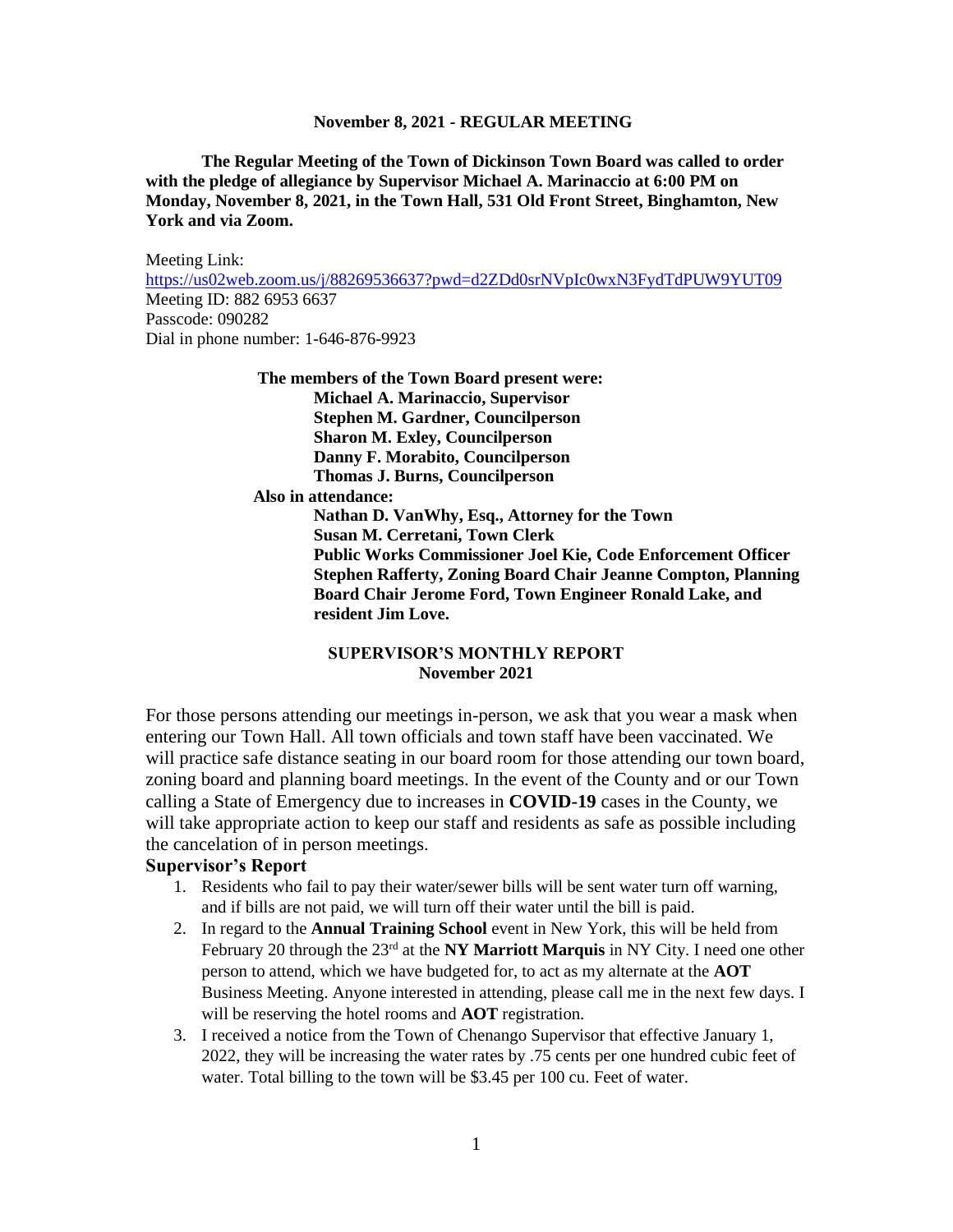**The Regular Meeting of the Town of Dickinson Town Board was called to order with the pledge of allegiance by Supervisor Michael A. Marinaccio at 6:00 PM on Monday, November 8, 2021, in the Town Hall, 531 Old Front Street, Binghamton, New York and via Zoom.**

Meeting Link: <https://us02web.zoom.us/j/88269536637?pwd=d2ZDd0srNVpIc0wxN3FydTdPUW9YUT09> Meeting ID: 882 6953 6637 Passcode: 090282 Dial in phone number: 1-646-876-9923

> **The members of the Town Board present were: Michael A. Marinaccio, Supervisor Stephen M. Gardner, Councilperson Sharon M. Exley, Councilperson Danny F. Morabito, Councilperson Thomas J. Burns, Councilperson Also in attendance: Nathan D. VanWhy, Esq., Attorney for the Town Susan M. Cerretani, Town Clerk Public Works Commissioner Joel Kie, Code Enforcement Officer Stephen Rafferty, Zoning Board Chair Jeanne Compton, Planning Board Chair Jerome Ford, Town Engineer Ronald Lake, and resident Jim Love.**

# **SUPERVISOR'S MONTHLY REPORT November 2021**

For those persons attending our meetings in-person, we ask that you wear a mask when entering our Town Hall. All town officials and town staff have been vaccinated. We will practice safe distance seating in our board room for those attending our town board, zoning board and planning board meetings. In the event of the County and or our Town calling a State of Emergency due to increases in **COVID-19** cases in the County, we will take appropriate action to keep our staff and residents as safe as possible including the cancelation of in person meetings.

# **Supervisor's Report**

- 1. Residents who fail to pay their water/sewer bills will be sent water turn off warning, and if bills are not paid, we will turn off their water until the bill is paid.
- 2. In regard to the **Annual Training School** event in New York, this will be held from February 20 through the 23rd at the **NY Marriott Marquis** in NY City. I need one other person to attend, which we have budgeted for, to act as my alternate at the **AOT**  Business Meeting. Anyone interested in attending, please call me in the next few days. I will be reserving the hotel rooms and **AOT** registration.
- 3. I received a notice from the Town of Chenango Supervisor that effective January 1, 2022, they will be increasing the water rates by .75 cents per one hundred cubic feet of water. Total billing to the town will be \$3.45 per 100 cu. Feet of water.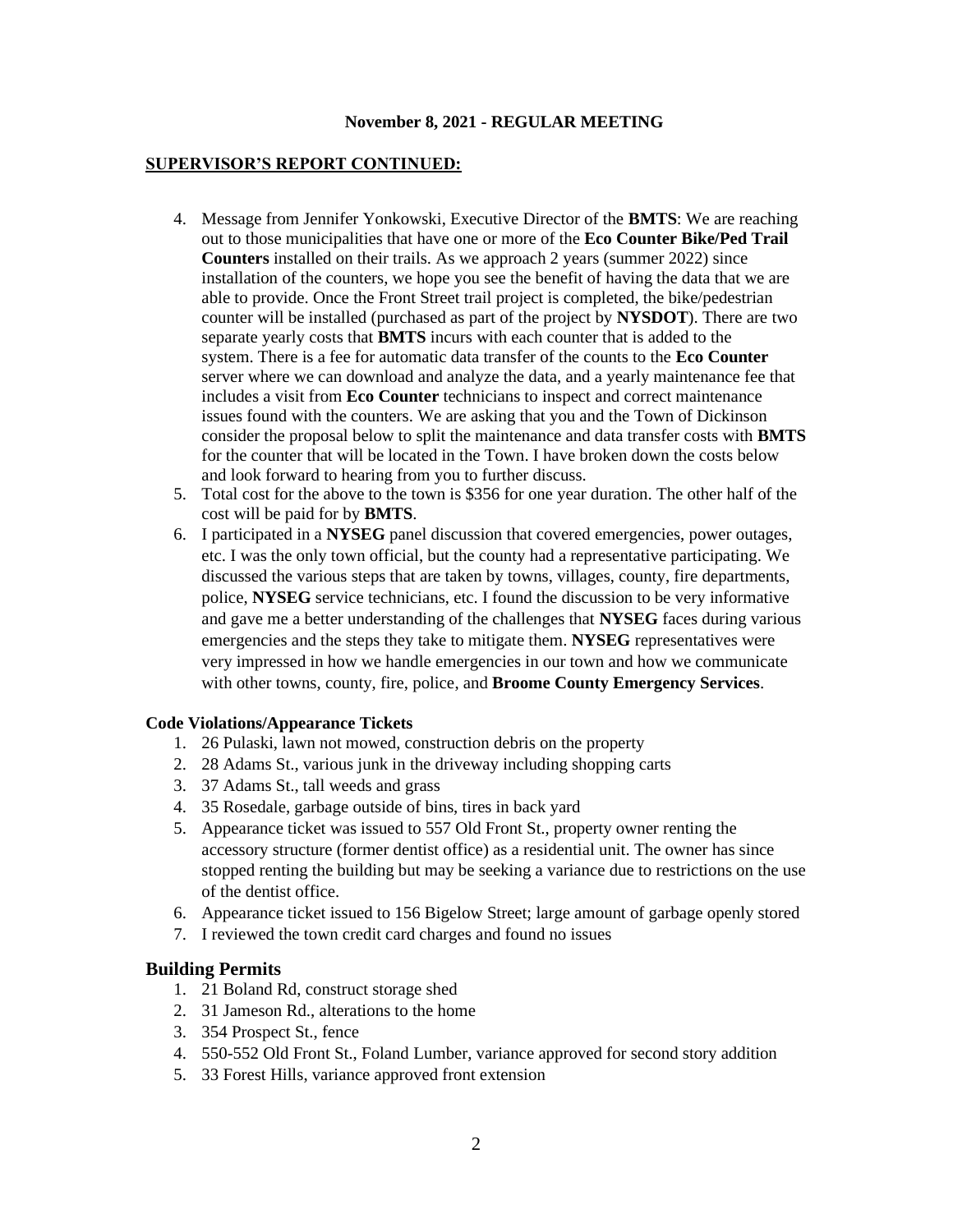## **SUPERVISOR'S REPORT CONTINUED:**

- 4. Message from Jennifer Yonkowski, Executive Director of the **BMTS**: We are reaching out to those municipalities that have one or more of the **Eco Counter Bike/Ped Trail Counters** installed on their trails. As we approach 2 years (summer 2022) since installation of the counters, we hope you see the benefit of having the data that we are able to provide. Once the Front Street trail project is completed, the bike/pedestrian counter will be installed (purchased as part of the project by **NYSDOT**). There are two separate yearly costs that **BMTS** incurs with each counter that is added to the system. There is a fee for automatic data transfer of the counts to the **Eco Counter** server where we can download and analyze the data, and a yearly maintenance fee that includes a visit from **Eco Counter** technicians to inspect and correct maintenance issues found with the counters. We are asking that you and the Town of Dickinson consider the proposal below to split the maintenance and data transfer costs with **BMTS** for the counter that will be located in the Town. I have broken down the costs below and look forward to hearing from you to further discuss.
- 5. Total cost for the above to the town is \$356 for one year duration. The other half of the cost will be paid for by **BMTS**.
- 6. I participated in a **NYSEG** panel discussion that covered emergencies, power outages, etc. I was the only town official, but the county had a representative participating. We discussed the various steps that are taken by towns, villages, county, fire departments, police, **NYSEG** service technicians, etc. I found the discussion to be very informative and gave me a better understanding of the challenges that **NYSEG** faces during various emergencies and the steps they take to mitigate them. **NYSEG** representatives were very impressed in how we handle emergencies in our town and how we communicate with other towns, county, fire, police, and **Broome County Emergency Services**.

#### **Code Violations/Appearance Tickets**

- 1. 26 Pulaski, lawn not mowed, construction debris on the property
- 2. 28 Adams St., various junk in the driveway including shopping carts
- 3. 37 Adams St., tall weeds and grass
- 4. 35 Rosedale, garbage outside of bins, tires in back yard
- 5. Appearance ticket was issued to 557 Old Front St., property owner renting the accessory structure (former dentist office) as a residential unit. The owner has since stopped renting the building but may be seeking a variance due to restrictions on the use of the dentist office.
- 6. Appearance ticket issued to 156 Bigelow Street; large amount of garbage openly stored
- 7. I reviewed the town credit card charges and found no issues

# **Building Permits**

- 1. 21 Boland Rd, construct storage shed
- 2. 31 Jameson Rd., alterations to the home
- 3. 354 Prospect St., fence
- 4. 550-552 Old Front St., Foland Lumber, variance approved for second story addition
- 5. 33 Forest Hills, variance approved front extension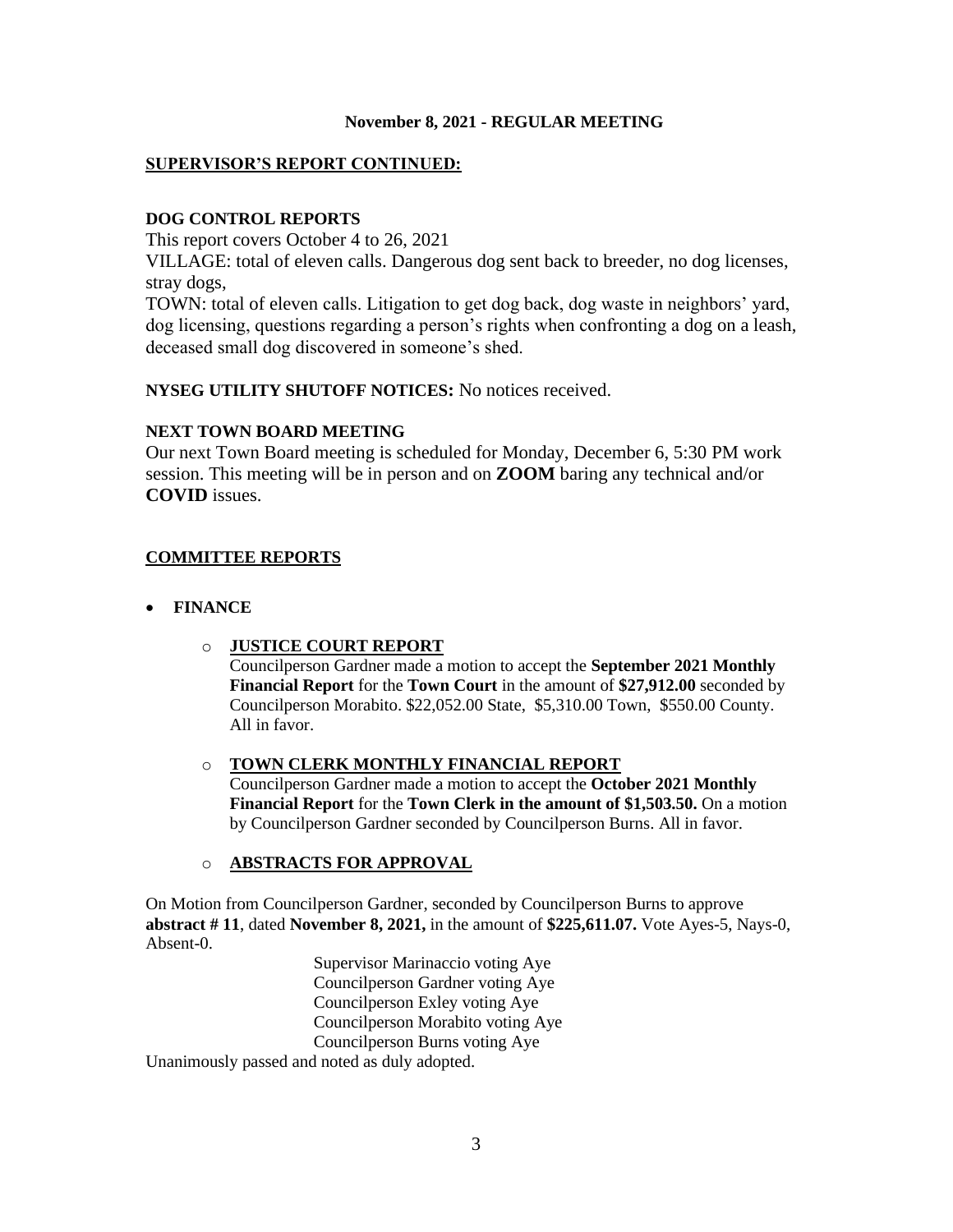# **SUPERVISOR'S REPORT CONTINUED:**

## **DOG CONTROL REPORTS**

This report covers October 4 to 26, 2021

VILLAGE: total of eleven calls. Dangerous dog sent back to breeder, no dog licenses, stray dogs,

TOWN: total of eleven calls. Litigation to get dog back, dog waste in neighbors' yard, dog licensing, questions regarding a person's rights when confronting a dog on a leash, deceased small dog discovered in someone's shed.

**NYSEG UTILITY SHUTOFF NOTICES:** No notices received.

## **NEXT TOWN BOARD MEETING**

Our next Town Board meeting is scheduled for Monday, December 6, 5:30 PM work session. This meeting will be in person and on **ZOOM** baring any technical and/or **COVID** issues.

# **COMMITTEE REPORTS**

- **FINANCE**
	- o **JUSTICE COURT REPORT**

Councilperson Gardner made a motion to accept the **September 2021 Monthly Financial Report** for the **Town Court** in the amount of **\$27,912.00** seconded by Councilperson Morabito. \$22,052.00 State, \$5,310.00 Town, \$550.00 County. All in favor.

# o **TOWN CLERK MONTHLY FINANCIAL REPORT**

Councilperson Gardner made a motion to accept the **October 2021 Monthly Financial Report** for the **Town Clerk in the amount of \$1,503.50.** On a motion by Councilperson Gardner seconded by Councilperson Burns. All in favor.

# o **ABSTRACTS FOR APPROVAL**

On Motion from Councilperson Gardner, seconded by Councilperson Burns to approve **abstract # 11**, dated **November 8, 2021,** in the amount of **\$225,611.07.** Vote Ayes-5, Nays-0, Absent-0.

> Supervisor Marinaccio voting Aye Councilperson Gardner voting Aye Councilperson Exley voting Aye Councilperson Morabito voting Aye Councilperson Burns voting Aye

Unanimously passed and noted as duly adopted.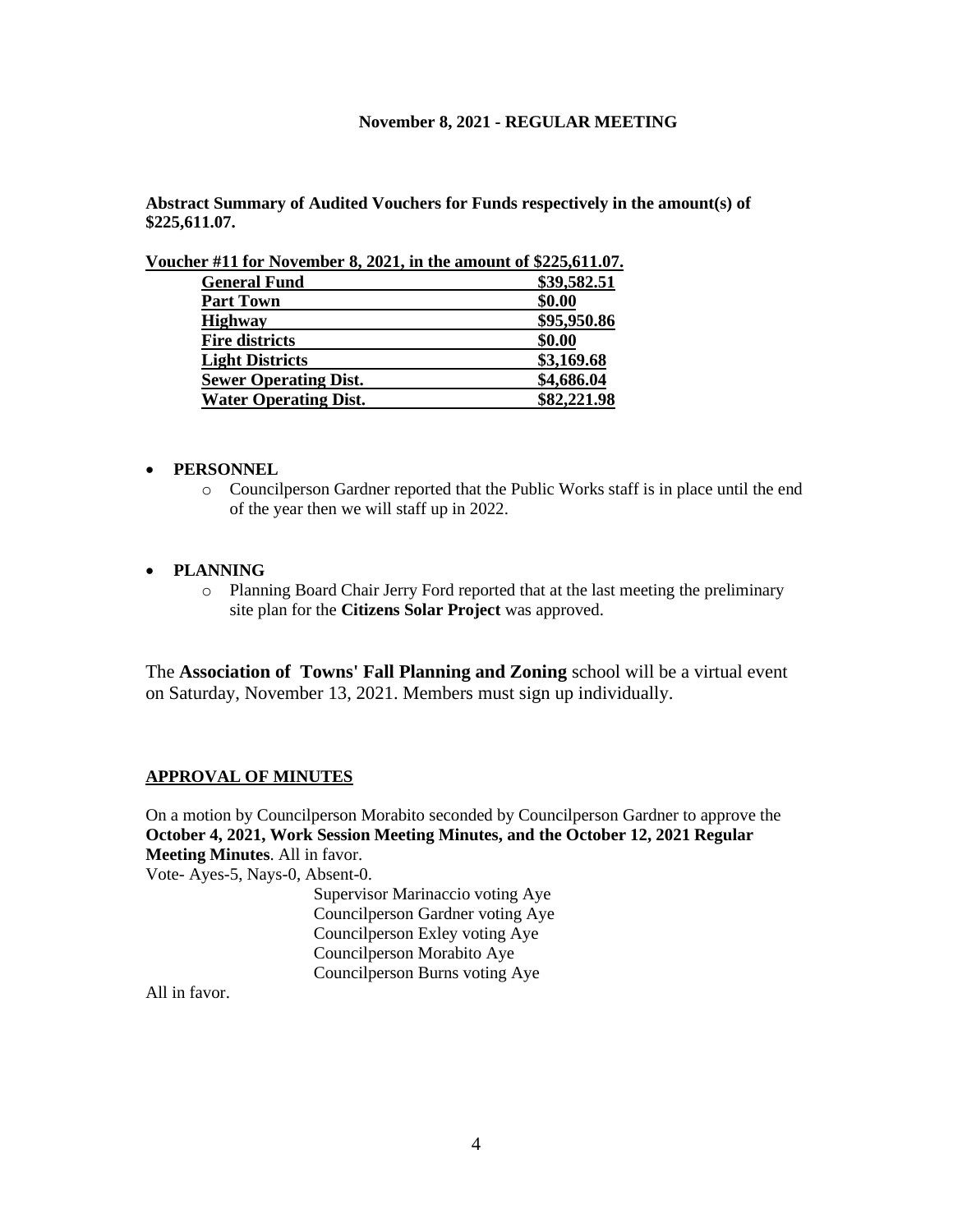**Abstract Summary of Audited Vouchers for Funds respectively in the amount(s) of \$225,611.07.**

**Voucher #11 for November 8, 2021, in the amount of \$225,611.07.** 

| <b>General Fund</b>          | \$39,582.51 |
|------------------------------|-------------|
| <b>Part Town</b>             | \$0.00      |
| <b>Highway</b>               | \$95,950.86 |
| <b>Fire districts</b>        | \$0.00      |
| <b>Light Districts</b>       | \$3,169.68  |
| <b>Sewer Operating Dist.</b> | \$4,686.04  |
| <b>Water Operating Dist.</b> | \$82,221.98 |

#### • **PERSONNEL**

o Councilperson Gardner reported that the Public Works staff is in place until the end of the year then we will staff up in 2022.

#### • **PLANNING**

o Planning Board Chair Jerry Ford reported that at the last meeting the preliminary site plan for the **Citizens Solar Project** was approved.

The **Association of Towns' Fall Planning and Zoning** school will be a virtual event on Saturday, November 13, 2021. Members must sign up individually.

#### **APPROVAL OF MINUTES**

On a motion by Councilperson Morabito seconded by Councilperson Gardner to approve the **October 4, 2021, Work Session Meeting Minutes, and the October 12, 2021 Regular Meeting Minutes**. All in favor.

Vote- Ayes-5, Nays-0, Absent-0.

Supervisor Marinaccio voting Aye Councilperson Gardner voting Aye Councilperson Exley voting Aye Councilperson Morabito Aye Councilperson Burns voting Aye

All in favor.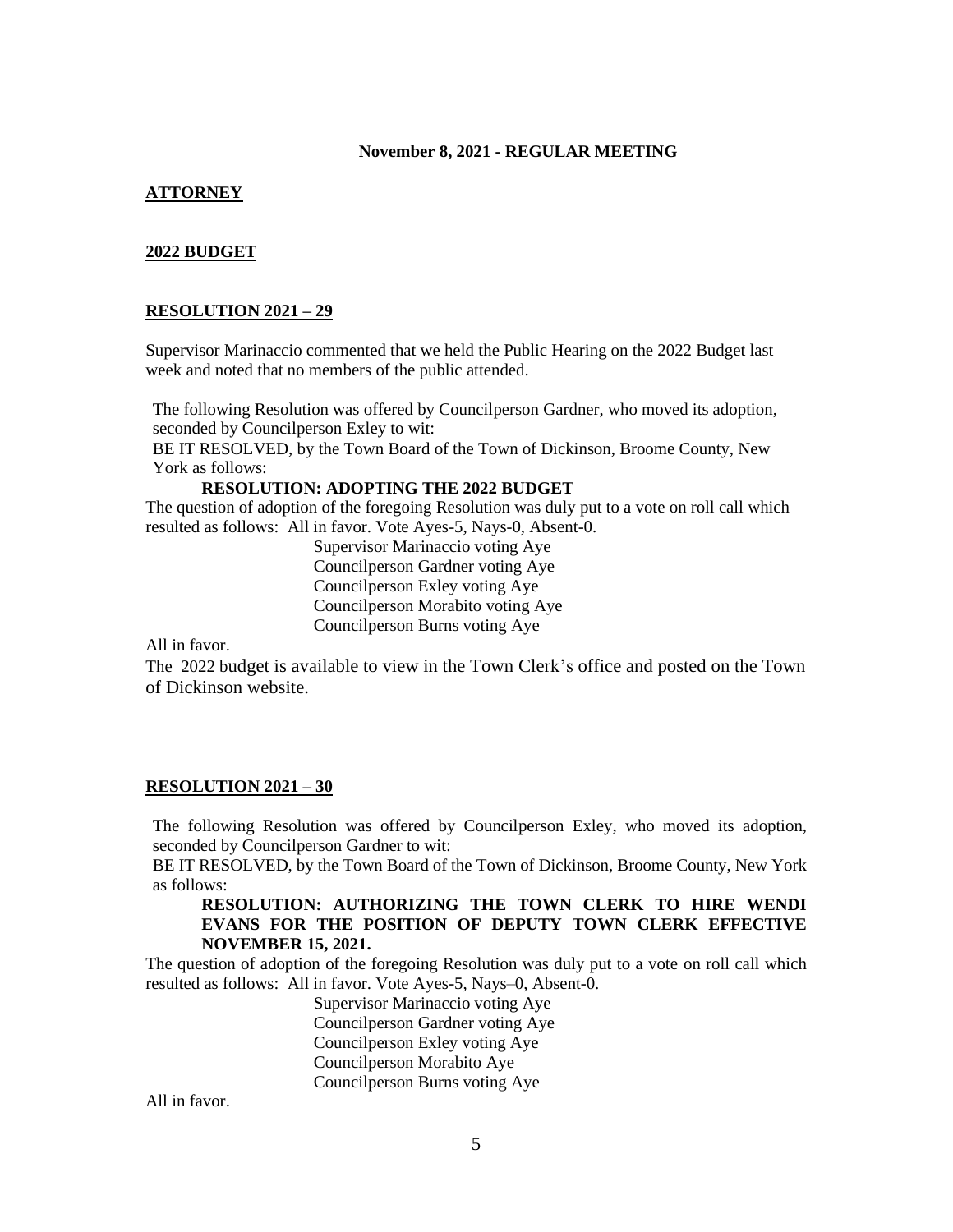# **ATTORNEY**

## **2022 BUDGET**

#### **RESOLUTION 2021 – 29**

Supervisor Marinaccio commented that we held the Public Hearing on the 2022 Budget last week and noted that no members of the public attended.

The following Resolution was offered by Councilperson Gardner, who moved its adoption, seconded by Councilperson Exley to wit:

BE IT RESOLVED, by the Town Board of the Town of Dickinson, Broome County, New York as follows:

**RESOLUTION: ADOPTING THE 2022 BUDGET**

The question of adoption of the foregoing Resolution was duly put to a vote on roll call which resulted as follows: All in favor. Vote Ayes-5, Nays-0, Absent-0.

> Supervisor Marinaccio voting Aye Councilperson Gardner voting Aye Councilperson Exley voting Aye Councilperson Morabito voting Aye Councilperson Burns voting Aye

All in favor.

The 2022 budget is available to view in the Town Clerk's office and posted on the Town of Dickinson website.

# **RESOLUTION 2021 – 30**

The following Resolution was offered by Councilperson Exley, who moved its adoption, seconded by Councilperson Gardner to wit:

BE IT RESOLVED, by the Town Board of the Town of Dickinson, Broome County, New York as follows:

## **RESOLUTION: AUTHORIZING THE TOWN CLERK TO HIRE WENDI EVANS FOR THE POSITION OF DEPUTY TOWN CLERK EFFECTIVE NOVEMBER 15, 2021.**

The question of adoption of the foregoing Resolution was duly put to a vote on roll call which resulted as follows: All in favor. Vote Ayes-5, Nays–0, Absent-0.

> Supervisor Marinaccio voting Aye Councilperson Gardner voting Aye Councilperson Exley voting Aye Councilperson Morabito Aye Councilperson Burns voting Aye

All in favor.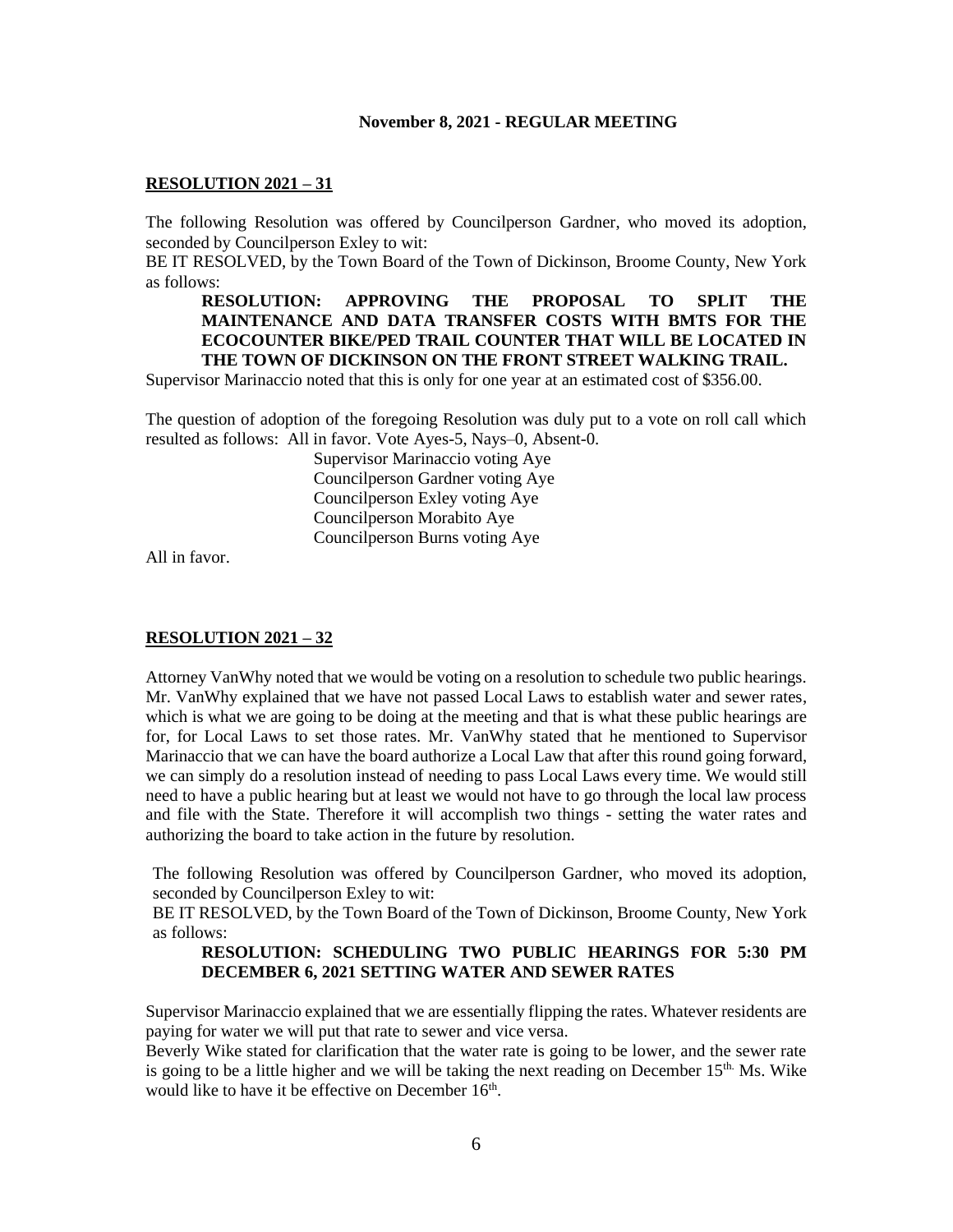#### **RESOLUTION 2021 – 31**

The following Resolution was offered by Councilperson Gardner, who moved its adoption, seconded by Councilperson Exley to wit:

BE IT RESOLVED, by the Town Board of the Town of Dickinson, Broome County, New York as follows:

# **RESOLUTION: APPROVING THE PROPOSAL TO SPLIT THE MAINTENANCE AND DATA TRANSFER COSTS WITH BMTS FOR THE ECOCOUNTER BIKE/PED TRAIL COUNTER THAT WILL BE LOCATED IN THE TOWN OF DICKINSON ON THE FRONT STREET WALKING TRAIL.**

Supervisor Marinaccio noted that this is only for one year at an estimated cost of \$356.00.

The question of adoption of the foregoing Resolution was duly put to a vote on roll call which resulted as follows: All in favor. Vote Ayes-5, Nays–0, Absent-0.

> Supervisor Marinaccio voting Aye Councilperson Gardner voting Aye Councilperson Exley voting Aye Councilperson Morabito Aye Councilperson Burns voting Aye

All in favor.

## **RESOLUTION 2021 – 32**

Attorney VanWhy noted that we would be voting on a resolution to schedule two public hearings. Mr. VanWhy explained that we have not passed Local Laws to establish water and sewer rates, which is what we are going to be doing at the meeting and that is what these public hearings are for, for Local Laws to set those rates. Mr. VanWhy stated that he mentioned to Supervisor Marinaccio that we can have the board authorize a Local Law that after this round going forward, we can simply do a resolution instead of needing to pass Local Laws every time. We would still need to have a public hearing but at least we would not have to go through the local law process and file with the State. Therefore it will accomplish two things - setting the water rates and authorizing the board to take action in the future by resolution.

The following Resolution was offered by Councilperson Gardner, who moved its adoption, seconded by Councilperson Exley to wit:

BE IT RESOLVED, by the Town Board of the Town of Dickinson, Broome County, New York as follows:

## **RESOLUTION: SCHEDULING TWO PUBLIC HEARINGS FOR 5:30 PM DECEMBER 6, 2021 SETTING WATER AND SEWER RATES**

Supervisor Marinaccio explained that we are essentially flipping the rates. Whatever residents are paying for water we will put that rate to sewer and vice versa.

Beverly Wike stated for clarification that the water rate is going to be lower, and the sewer rate is going to be a little higher and we will be taking the next reading on December  $15<sup>th</sup>$ . Ms. Wike would like to have it be effective on December 16<sup>th</sup>.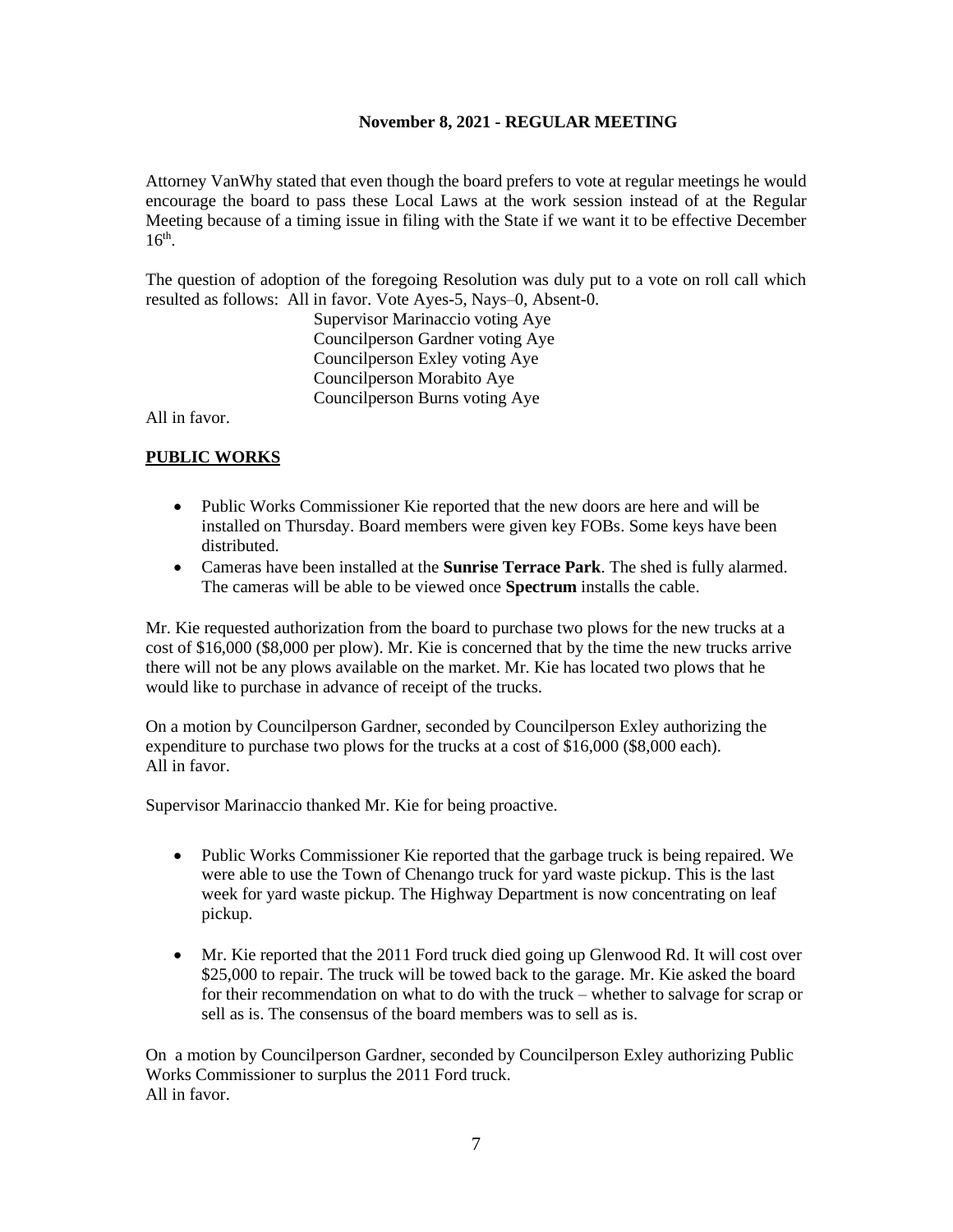Attorney VanWhy stated that even though the board prefers to vote at regular meetings he would encourage the board to pass these Local Laws at the work session instead of at the Regular Meeting because of a timing issue in filing with the State if we want it to be effective December 16<sup>th</sup>.

The question of adoption of the foregoing Resolution was duly put to a vote on roll call which resulted as follows: All in favor. Vote Ayes-5, Nays–0, Absent-0.

Supervisor Marinaccio voting Aye Councilperson Gardner voting Aye Councilperson Exley voting Aye Councilperson Morabito Aye Councilperson Burns voting Aye

All in favor.

# **PUBLIC WORKS**

- Public Works Commissioner Kie reported that the new doors are here and will be installed on Thursday. Board members were given key FOBs. Some keys have been distributed.
- Cameras have been installed at the **Sunrise Terrace Park**. The shed is fully alarmed. The cameras will be able to be viewed once **Spectrum** installs the cable.

Mr. Kie requested authorization from the board to purchase two plows for the new trucks at a cost of \$16,000 (\$8,000 per plow). Mr. Kie is concerned that by the time the new trucks arrive there will not be any plows available on the market. Mr. Kie has located two plows that he would like to purchase in advance of receipt of the trucks.

On a motion by Councilperson Gardner, seconded by Councilperson Exley authorizing the expenditure to purchase two plows for the trucks at a cost of \$16,000 (\$8,000 each). All in favor.

Supervisor Marinaccio thanked Mr. Kie for being proactive.

- Public Works Commissioner Kie reported that the garbage truck is being repaired. We were able to use the Town of Chenango truck for yard waste pickup. This is the last week for yard waste pickup. The Highway Department is now concentrating on leaf pickup.
- Mr. Kie reported that the 2011 Ford truck died going up Glenwood Rd. It will cost over \$25,000 to repair. The truck will be towed back to the garage. Mr. Kie asked the board for their recommendation on what to do with the truck – whether to salvage for scrap or sell as is. The consensus of the board members was to sell as is.

On a motion by Councilperson Gardner, seconded by Councilperson Exley authorizing Public Works Commissioner to surplus the 2011 Ford truck. All in favor.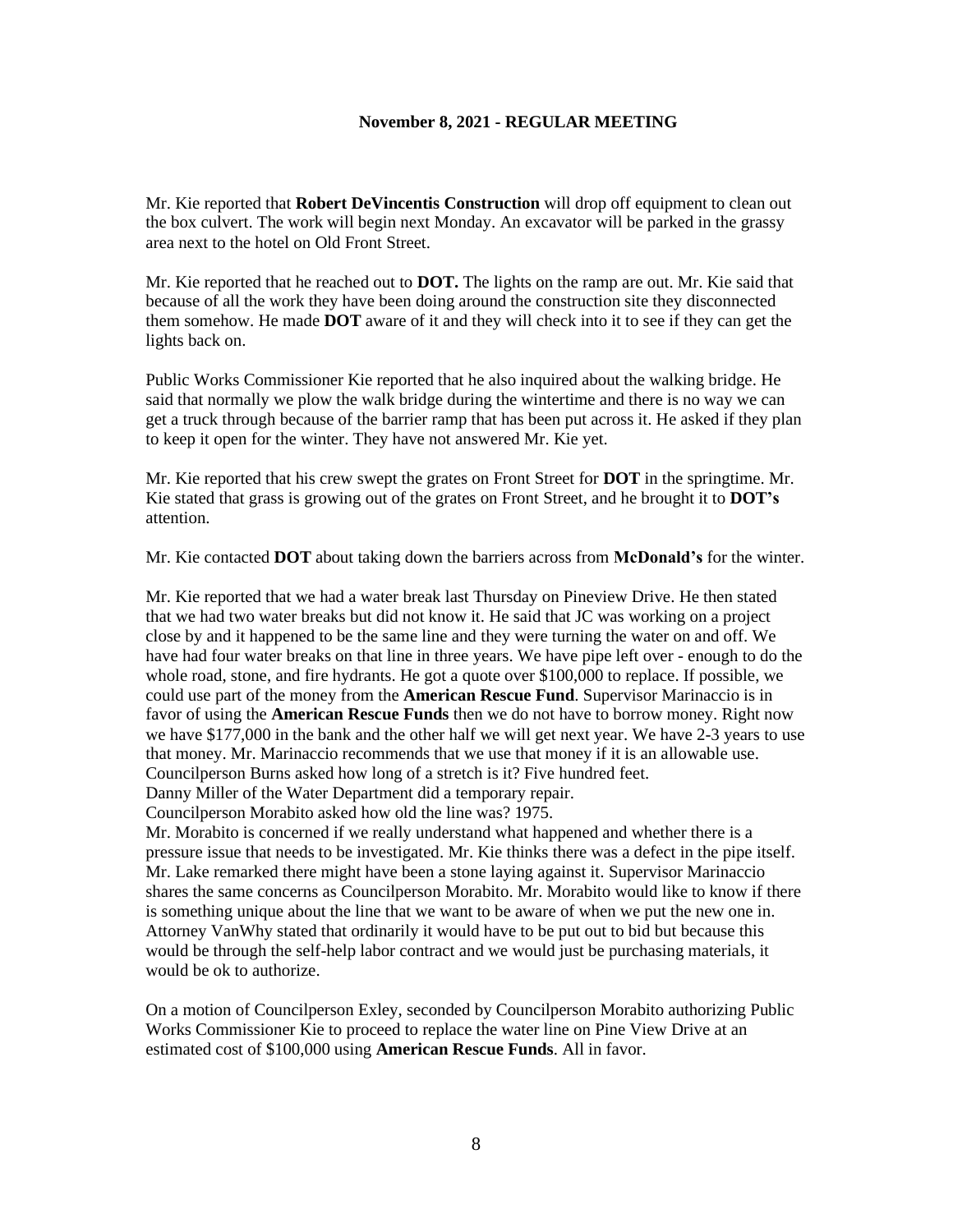Mr. Kie reported that **Robert DeVincentis Construction** will drop off equipment to clean out the box culvert. The work will begin next Monday. An excavator will be parked in the grassy area next to the hotel on Old Front Street.

Mr. Kie reported that he reached out to **DOT.** The lights on the ramp are out. Mr. Kie said that because of all the work they have been doing around the construction site they disconnected them somehow. He made **DOT** aware of it and they will check into it to see if they can get the lights back on.

Public Works Commissioner Kie reported that he also inquired about the walking bridge. He said that normally we plow the walk bridge during the wintertime and there is no way we can get a truck through because of the barrier ramp that has been put across it. He asked if they plan to keep it open for the winter. They have not answered Mr. Kie yet.

Mr. Kie reported that his crew swept the grates on Front Street for **DOT** in the springtime. Mr. Kie stated that grass is growing out of the grates on Front Street, and he brought it to **DOT's** attention.

Mr. Kie contacted **DOT** about taking down the barriers across from **McDonald's** for the winter.

Mr. Kie reported that we had a water break last Thursday on Pineview Drive. He then stated that we had two water breaks but did not know it. He said that JC was working on a project close by and it happened to be the same line and they were turning the water on and off. We have had four water breaks on that line in three years. We have pipe left over - enough to do the whole road, stone, and fire hydrants. He got a quote over \$100,000 to replace. If possible, we could use part of the money from the **American Rescue Fund**. Supervisor Marinaccio is in favor of using the **American Rescue Funds** then we do not have to borrow money. Right now we have \$177,000 in the bank and the other half we will get next year. We have 2-3 years to use that money. Mr. Marinaccio recommends that we use that money if it is an allowable use. Councilperson Burns asked how long of a stretch is it? Five hundred feet.

Danny Miller of the Water Department did a temporary repair.

Councilperson Morabito asked how old the line was? 1975.

Mr. Morabito is concerned if we really understand what happened and whether there is a pressure issue that needs to be investigated. Mr. Kie thinks there was a defect in the pipe itself. Mr. Lake remarked there might have been a stone laying against it. Supervisor Marinaccio shares the same concerns as Councilperson Morabito. Mr. Morabito would like to know if there is something unique about the line that we want to be aware of when we put the new one in. Attorney VanWhy stated that ordinarily it would have to be put out to bid but because this would be through the self-help labor contract and we would just be purchasing materials, it would be ok to authorize.

On a motion of Councilperson Exley, seconded by Councilperson Morabito authorizing Public Works Commissioner Kie to proceed to replace the water line on Pine View Drive at an estimated cost of \$100,000 using **American Rescue Funds**. All in favor.